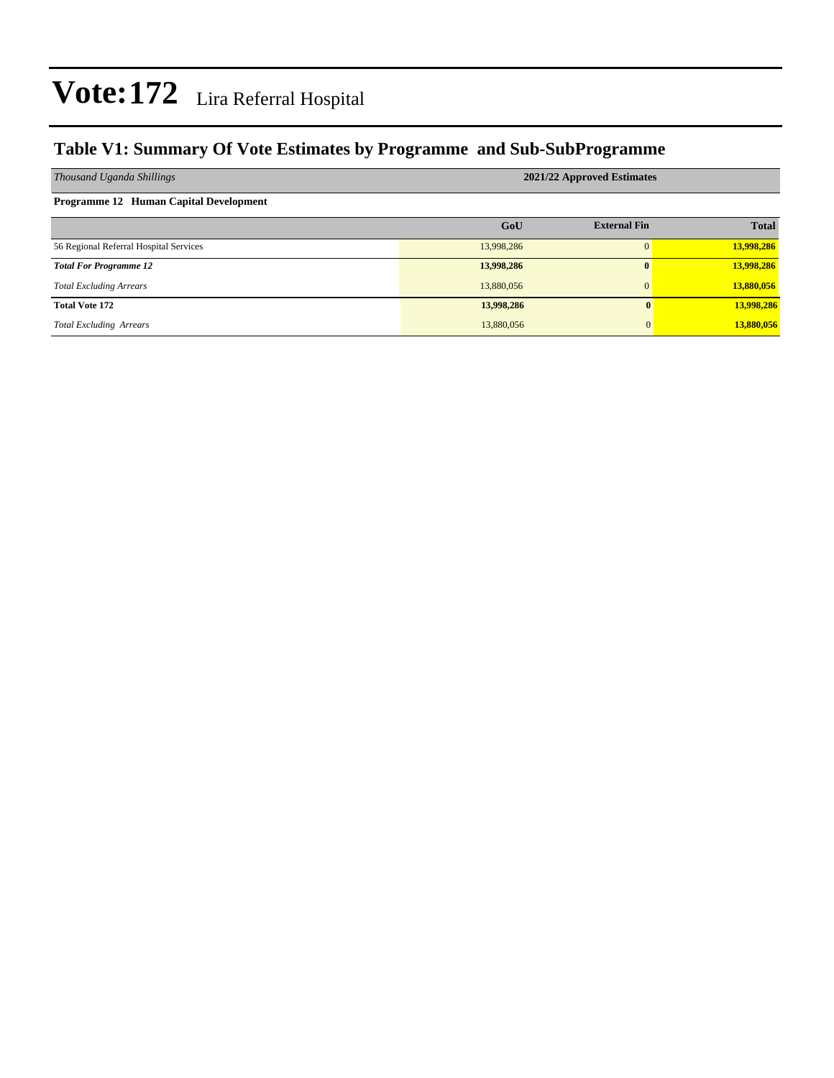#### **Table V1: Summary Of Vote Estimates by Programme and Sub-SubProgramme**

| Thousand Uganda Shillings                     | 2021/22 Approved Estimates |                     |              |  |  |  |  |  |
|-----------------------------------------------|----------------------------|---------------------|--------------|--|--|--|--|--|
| <b>Programme 12 Human Capital Development</b> |                            |                     |              |  |  |  |  |  |
|                                               | GoU                        | <b>External Fin</b> | <b>Total</b> |  |  |  |  |  |
| 56 Regional Referral Hospital Services        | 13,998,286                 | $\Omega$            | 13,998,286   |  |  |  |  |  |
| <b>Total For Programme 12</b>                 | 13,998,286                 | $\mathbf{0}$        | 13,998,286   |  |  |  |  |  |
| <b>Total Excluding Arrears</b>                | 13,880,056                 | $\Omega$            | 13,880,056   |  |  |  |  |  |
| <b>Total Vote 172</b>                         | 13,998,286                 | 0                   | 13,998,286   |  |  |  |  |  |
| <b>Total Excluding Arrears</b>                | 13,880,056                 | $\overline{0}$      | 13,880,056   |  |  |  |  |  |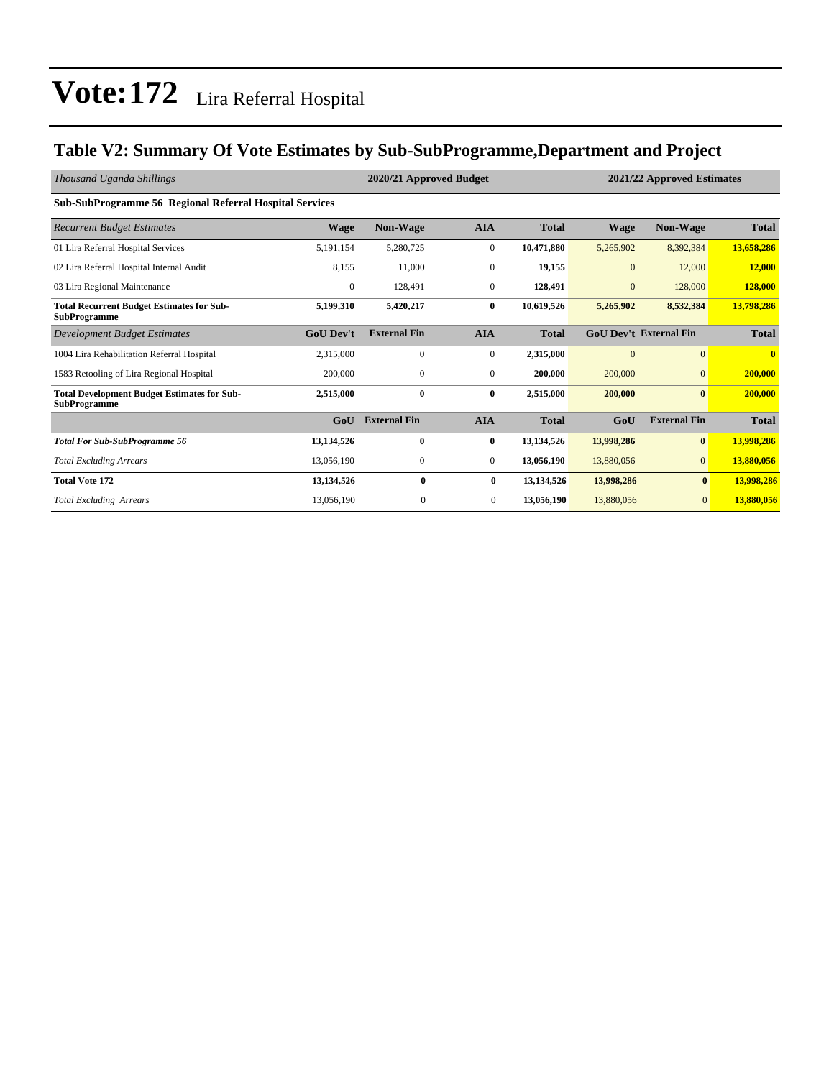### **Table V2: Summary Of Vote Estimates by Sub-SubProgramme,Department and Project**

| Thousand Uganda Shillings                                                 |                  | 2020/21 Approved Budget<br>2021/22 Approved Estimates |                  |              |                |                               |              |
|---------------------------------------------------------------------------|------------------|-------------------------------------------------------|------------------|--------------|----------------|-------------------------------|--------------|
| <b>Sub-SubProgramme 56 Regional Referral Hospital Services</b>            |                  |                                                       |                  |              |                |                               |              |
| <b>Recurrent Budget Estimates</b>                                         | <b>Wage</b>      | Non-Wage                                              | <b>AIA</b>       | <b>Total</b> | <b>Wage</b>    | Non-Wage                      | <b>Total</b> |
| 01 Lira Referral Hospital Services                                        | 5,191,154        | 5,280,725                                             | $\boldsymbol{0}$ | 10,471,880   | 5,265,902      | 8,392,384                     | 13,658,286   |
| 02 Lira Referral Hospital Internal Audit                                  | 8,155            | 11,000                                                | $\overline{0}$   | 19,155       | $\mathbf{0}$   | 12,000                        | 12,000       |
| 03 Lira Regional Maintenance                                              | $\mathbf{0}$     | 128,491                                               | $\boldsymbol{0}$ | 128,491      | $\mathbf{0}$   | 128,000                       | 128,000      |
| <b>Total Recurrent Budget Estimates for Sub-</b><br><b>SubProgramme</b>   | 5,199,310        | 5,420,217                                             | $\bf{0}$         | 10,619,526   | 5,265,902      | 8,532,384                     | 13,798,286   |
| Development Budget Estimates                                              | <b>GoU</b> Dev't | <b>External Fin</b>                                   | <b>AIA</b>       | <b>Total</b> |                | <b>GoU Dev't External Fin</b> | <b>Total</b> |
| 1004 Lira Rehabilitation Referral Hospital                                | 2,315,000        | $\mathbf{0}$                                          | $\overline{0}$   | 2,315,000    | $\overline{0}$ | $\overline{0}$                | $\bf{0}$     |
| 1583 Retooling of Lira Regional Hospital                                  | 200,000          | $\mathbf{0}$                                          | $\overline{0}$   | 200,000      | 200,000        | $\mathbf{0}$                  | 200,000      |
| <b>Total Development Budget Estimates for Sub-</b><br><b>SubProgramme</b> | 2,515,000        | $\bf{0}$                                              | $\bf{0}$         | 2,515,000    | 200,000        | $\bf{0}$                      | 200,000      |
|                                                                           | GoU              | <b>External Fin</b>                                   | <b>AIA</b>       | <b>Total</b> | GoU            | <b>External Fin</b>           | <b>Total</b> |
| <b>Total For Sub-SubProgramme 56</b>                                      | 13,134,526       | $\bf{0}$                                              | $\bf{0}$         | 13,134,526   | 13,998,286     | $\bf{0}$                      | 13,998,286   |
| <b>Total Excluding Arrears</b>                                            | 13,056,190       | $\mathbf{0}$                                          | $\boldsymbol{0}$ | 13,056,190   | 13,880,056     | $\overline{0}$                | 13,880,056   |
| <b>Total Vote 172</b>                                                     | 13,134,526       | $\mathbf{0}$                                          | $\bf{0}$         | 13,134,526   | 13,998,286     | $\bf{0}$                      | 13,998,286   |
| <b>Total Excluding Arrears</b>                                            | 13,056,190       | $\mathbf{0}$                                          | $\overline{0}$   | 13,056,190   | 13,880,056     | $\mathbf{0}$                  | 13,880,056   |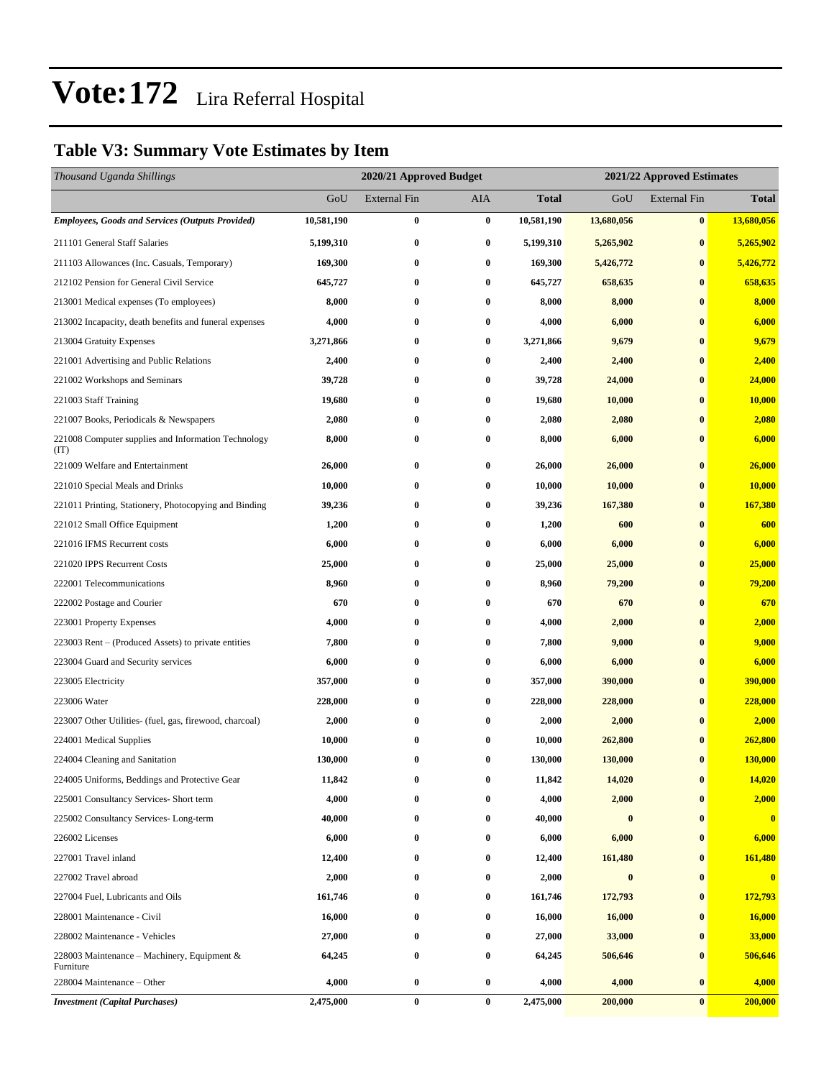### **Table V3: Summary Vote Estimates by Item**

| Thousand Uganda Shillings                                   |            | 2020/21 Approved Budget | 2021/22 Approved Estimates |              |                  |                     |              |  |
|-------------------------------------------------------------|------------|-------------------------|----------------------------|--------------|------------------|---------------------|--------------|--|
|                                                             | GoU        | <b>External Fin</b>     | AIA                        | <b>Total</b> | GoU              | <b>External Fin</b> | <b>Total</b> |  |
| <b>Employees, Goods and Services (Outputs Provided)</b>     | 10,581,190 | $\bf{0}$                | $\bf{0}$                   | 10,581,190   | 13,680,056       | $\bf{0}$            | 13,680,056   |  |
| 211101 General Staff Salaries                               | 5,199,310  | $\bf{0}$                | $\bf{0}$                   | 5,199,310    | 5,265,902        | $\bf{0}$            | 5,265,902    |  |
| 211103 Allowances (Inc. Casuals, Temporary)                 | 169,300    | $\bf{0}$                | $\bf{0}$                   | 169,300      | 5,426,772        | $\bf{0}$            | 5,426,772    |  |
| 212102 Pension for General Civil Service                    | 645,727    | $\bf{0}$                | $\bf{0}$                   | 645,727      | 658,635          | $\bf{0}$            | 658,635      |  |
| 213001 Medical expenses (To employees)                      | 8,000      | 0                       | $\bf{0}$                   | 8,000        | 8,000            | $\bf{0}$            | 8,000        |  |
| 213002 Incapacity, death benefits and funeral expenses      | 4,000      | $\bf{0}$                | $\bf{0}$                   | 4,000        | 6,000            | $\bf{0}$            | 6,000        |  |
| 213004 Gratuity Expenses                                    | 3,271,866  | 0                       | 0                          | 3,271,866    | 9,679            | $\bf{0}$            | 9,679        |  |
| 221001 Advertising and Public Relations                     | 2,400      | $\bf{0}$                | $\bf{0}$                   | 2,400        | 2,400            | $\bf{0}$            | 2,400        |  |
| 221002 Workshops and Seminars                               | 39,728     | $\bf{0}$                | $\bf{0}$                   | 39,728       | 24,000           | $\bf{0}$            | 24,000       |  |
| 221003 Staff Training                                       | 19,680     | 0                       | $\bf{0}$                   | 19,680       | 10,000           | $\bf{0}$            | 10,000       |  |
| 221007 Books, Periodicals & Newspapers                      | 2,080      | $\bf{0}$                | $\bf{0}$                   | 2,080        | 2,080            | $\bf{0}$            | 2,080        |  |
| 221008 Computer supplies and Information Technology<br>(TT) | 8,000      | $\bf{0}$                | 0                          | 8,000        | 6,000            | $\bf{0}$            | 6,000        |  |
| 221009 Welfare and Entertainment                            | 26,000     | $\bf{0}$                | $\bf{0}$                   | 26,000       | 26,000           | $\bf{0}$            | 26,000       |  |
| 221010 Special Meals and Drinks                             | 10,000     | 0                       | $\bf{0}$                   | 10,000       | 10,000           | $\bf{0}$            | 10,000       |  |
| 221011 Printing, Stationery, Photocopying and Binding       | 39,236     | $\bf{0}$                | 0                          | 39,236       | 167,380          | $\bf{0}$            | 167,380      |  |
| 221012 Small Office Equipment                               | 1,200      | 0                       | $\bf{0}$                   | 1,200        | 600              | $\bf{0}$            | 600          |  |
| 221016 IFMS Recurrent costs                                 | 6,000      | $\bf{0}$                | $\bf{0}$                   | 6,000        | 6,000            | $\bf{0}$            | 6,000        |  |
| 221020 IPPS Recurrent Costs                                 | 25,000     | $\bf{0}$                | $\bf{0}$                   | 25,000       | 25,000           | $\bf{0}$            | 25,000       |  |
| 222001 Telecommunications                                   | 8,960      | 0                       | $\bf{0}$                   | 8,960        | 79,200           | $\bf{0}$            | 79,200       |  |
| 222002 Postage and Courier                                  | 670        | $\bf{0}$                | $\bf{0}$                   | 670          | 670              | $\bf{0}$            | 670          |  |
| 223001 Property Expenses                                    | 4,000      | 0                       | $\bf{0}$                   | 4,000        | 2,000            | $\bf{0}$            | 2,000        |  |
| 223003 Rent – (Produced Assets) to private entities         | 7,800      | $\bf{0}$                | $\bf{0}$                   | 7,800        | 9,000            | $\bf{0}$            | 9,000        |  |
| 223004 Guard and Security services                          | 6,000      | $\bf{0}$                | $\bf{0}$                   | 6,000        | 6,000            | $\bf{0}$            | 6,000        |  |
| 223005 Electricity                                          | 357,000    | 0                       | $\bf{0}$                   | 357,000      | 390,000          | $\bf{0}$            | 390,000      |  |
| 223006 Water                                                | 228,000    | $\bf{0}$                | 0                          | 228,000      | 228,000          | $\bf{0}$            | 228,000      |  |
| 223007 Other Utilities- (fuel, gas, firewood, charcoal)     | 2,000      | 0                       | $\bf{0}$                   | 2,000        | 2,000            | $\bf{0}$            | 2,000        |  |
| 224001 Medical Supplies                                     | 10,000     | 0                       | $\bf{0}$                   | 10,000       | 262,800          | $\bf{0}$            | 262,800      |  |
| 224004 Cleaning and Sanitation                              | 130,000    | $\bf{0}$                | $\bf{0}$                   | 130,000      | 130,000          | $\bf{0}$            | 130,000      |  |
| 224005 Uniforms, Beddings and Protective Gear               | 11,842     | $\bf{0}$                | $\bf{0}$                   | 11,842       | 14,020           | $\bf{0}$            | 14,020       |  |
| 225001 Consultancy Services- Short term                     | 4,000      | $\bf{0}$                | 0                          | 4,000        | 2,000            | $\bf{0}$            | 2,000        |  |
| 225002 Consultancy Services-Long-term                       | 40,000     | 0                       | $\bf{0}$                   | 40,000       | $\boldsymbol{0}$ | $\bf{0}$            | $\mathbf{0}$ |  |
| 226002 Licenses                                             | 6,000      | 0                       | $\bf{0}$                   | 6,000        | 6,000            | $\bf{0}$            | 6,000        |  |
| 227001 Travel inland                                        | 12,400     | 0                       | $\bf{0}$                   | 12,400       | 161,480          | $\bf{0}$            | 161,480      |  |
| 227002 Travel abroad                                        | 2,000      | $\bf{0}$                | $\bf{0}$                   | 2,000        | $\bf{0}$         | $\bf{0}$            | $\bf{0}$     |  |
| 227004 Fuel, Lubricants and Oils                            | 161,746    | $\bf{0}$                | 0                          | 161,746      | 172,793          | $\bf{0}$            | 172,793      |  |
| 228001 Maintenance - Civil                                  | 16,000     | 0                       | $\bf{0}$                   | 16,000       | 16,000           | $\bf{0}$            | 16,000       |  |
| 228002 Maintenance - Vehicles                               | 27,000     | 0                       | $\bf{0}$                   | 27,000       | 33,000           | $\bf{0}$            | 33,000       |  |
| 228003 Maintenance – Machinery, Equipment $\&$<br>Furniture | 64,245     | $\bf{0}$                | $\bf{0}$                   | 64,245       | 506,646          | $\bf{0}$            | 506,646      |  |
| 228004 Maintenance – Other                                  | 4,000      | $\bf{0}$                | $\bf{0}$                   | 4,000        | 4,000            | $\bf{0}$            | 4,000        |  |
| <b>Investment</b> (Capital Purchases)                       | 2,475,000  | $\bf{0}$                | $\bf{0}$                   | 2,475,000    | 200,000          | $\bf{0}$            | 200,000      |  |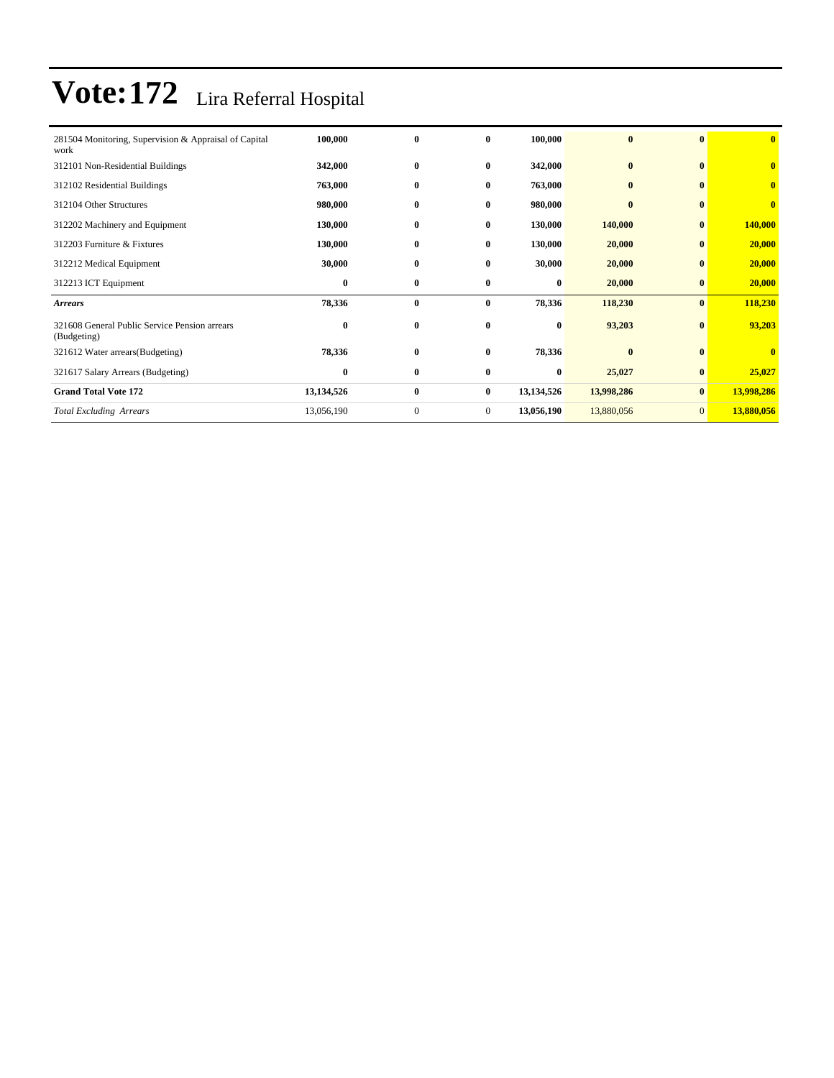| 281504 Monitoring, Supervision & Appraisal of Capital<br>work | 100,000    | $\bf{0}$     | $\bf{0}$       | 100,000    | $\bf{0}$   | $\bf{0}$       | $\bf{0}$                |
|---------------------------------------------------------------|------------|--------------|----------------|------------|------------|----------------|-------------------------|
| 312101 Non-Residential Buildings                              | 342,000    | $\bf{0}$     | $\bf{0}$       | 342,000    | $\bf{0}$   | $\bf{0}$       | $\overline{\mathbf{0}}$ |
| 312102 Residential Buildings                                  | 763,000    | $\bf{0}$     | $\bf{0}$       | 763,000    | $\bf{0}$   | $\mathbf{0}$   | $\overline{\mathbf{0}}$ |
| 312104 Other Structures                                       | 980,000    | $\bf{0}$     | $\bf{0}$       | 980,000    | $\bf{0}$   | $\bf{0}$       | $\bf{0}$                |
| 312202 Machinery and Equipment                                | 130,000    | $\bf{0}$     | $\mathbf{0}$   | 130,000    | 140,000    | $\mathbf{0}$   | 140,000                 |
| 312203 Furniture & Fixtures                                   | 130,000    | $\bf{0}$     | $\bf{0}$       | 130,000    | 20,000     | $\bf{0}$       | 20,000                  |
| 312212 Medical Equipment                                      | 30,000     | $\bf{0}$     | $\bf{0}$       | 30,000     | 20,000     | $\mathbf{0}$   | 20,000                  |
| 312213 ICT Equipment                                          | $\bf{0}$   | $\bf{0}$     | $\bf{0}$       | $\bf{0}$   | 20,000     | $\bf{0}$       | 20,000                  |
| <b>Arrears</b>                                                | 78,336     | $\bf{0}$     | $\bf{0}$       | 78,336     | 118,230    | $\bf{0}$       | 118,230                 |
| 321608 General Public Service Pension arrears<br>(Budgeting)  | $\bf{0}$   | $\bf{0}$     | $\bf{0}$       | $\bf{0}$   | 93,203     | $\bf{0}$       | 93,203                  |
| 321612 Water arrears (Budgeting)                              | 78,336     | $\bf{0}$     | $\bf{0}$       | 78,336     | $\bf{0}$   | $\mathbf{0}$   | $\bf{0}$                |
| 321617 Salary Arrears (Budgeting)                             | $\bf{0}$   | $\bf{0}$     | $\bf{0}$       | $\bf{0}$   | 25,027     | $\bf{0}$       | 25,027                  |
| <b>Grand Total Vote 172</b>                                   | 13,134,526 | $\bf{0}$     | $\bf{0}$       | 13,134,526 | 13,998,286 | $\bf{0}$       | 13,998,286              |
| <b>Total Excluding Arrears</b>                                | 13,056,190 | $\mathbf{0}$ | $\overline{0}$ | 13,056,190 | 13,880,056 | $\overline{0}$ | 13,880,056              |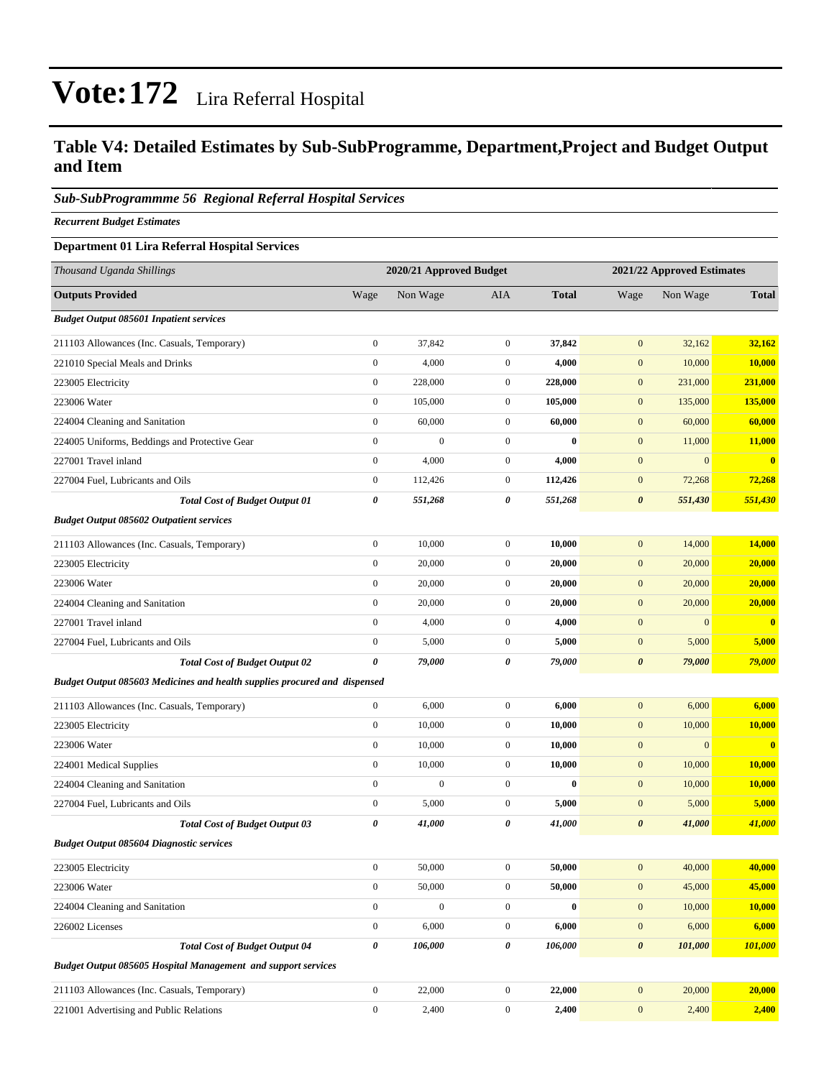#### **Table V4: Detailed Estimates by Sub-SubProgramme, Department,Project and Budget Output and Item**

#### *Sub-SubProgrammme 56 Regional Referral Hospital Services*

*Recurrent Budget Estimates*

#### **Department 01 Lira Referral Hospital Services**

| Thousand Uganda Shillings                                                        |                       | 2020/21 Approved Budget |                  |              |                       | 2021/22 Approved Estimates |                |  |
|----------------------------------------------------------------------------------|-----------------------|-------------------------|------------------|--------------|-----------------------|----------------------------|----------------|--|
| <b>Outputs Provided</b>                                                          | Wage                  | Non Wage                | AIA              | <b>Total</b> | Wage                  | Non Wage                   | <b>Total</b>   |  |
| <b>Budget Output 085601 Inpatient services</b>                                   |                       |                         |                  |              |                       |                            |                |  |
| 211103 Allowances (Inc. Casuals, Temporary)                                      | $\boldsymbol{0}$      | 37,842                  | $\boldsymbol{0}$ | 37,842       | $\boldsymbol{0}$      | 32,162                     | 32,162         |  |
| 221010 Special Meals and Drinks                                                  | $\boldsymbol{0}$      | 4,000                   | $\boldsymbol{0}$ | 4,000        | $\mathbf{0}$          | 10,000                     | 10,000         |  |
| 223005 Electricity                                                               | $\boldsymbol{0}$      | 228,000                 | $\mathbf{0}$     | 228,000      | $\mathbf{0}$          | 231,000                    | 231,000        |  |
| 223006 Water                                                                     | $\boldsymbol{0}$      | 105,000                 | $\boldsymbol{0}$ | 105,000      | $\mathbf{0}$          | 135,000                    | <b>135,000</b> |  |
| 224004 Cleaning and Sanitation                                                   | $\boldsymbol{0}$      | 60,000                  | $\mathbf{0}$     | 60,000       | $\mathbf{0}$          | 60,000                     | 60,000         |  |
| 224005 Uniforms, Beddings and Protective Gear                                    | $\boldsymbol{0}$      | $\boldsymbol{0}$        | $\boldsymbol{0}$ | $\bf{0}$     | $\mathbf{0}$          | 11,000                     | <b>11,000</b>  |  |
| 227001 Travel inland                                                             | $\boldsymbol{0}$      | 4,000                   | $\boldsymbol{0}$ | 4,000        | $\mathbf{0}$          | $\mathbf{0}$               | $\bf{0}$       |  |
| 227004 Fuel, Lubricants and Oils                                                 | $\boldsymbol{0}$      | 112,426                 | $\mathbf{0}$     | 112,426      | $\mathbf{0}$          | 72,268                     | 72,268         |  |
| <b>Total Cost of Budget Output 01</b>                                            | $\pmb{\theta}$        | 551,268                 | 0                | 551,268      | $\boldsymbol{\theta}$ | 551,430                    | 551,430        |  |
| <b>Budget Output 085602 Outpatient services</b>                                  |                       |                         |                  |              |                       |                            |                |  |
| 211103 Allowances (Inc. Casuals, Temporary)                                      | $\boldsymbol{0}$      | 10,000                  | $\mathbf{0}$     | 10,000       | $\mathbf{0}$          | 14,000                     | 14,000         |  |
| 223005 Electricity                                                               | $\boldsymbol{0}$      | 20,000                  | $\boldsymbol{0}$ | 20,000       | $\mathbf{0}$          | 20,000                     | 20,000         |  |
| 223006 Water                                                                     | $\boldsymbol{0}$      | 20,000                  | $\boldsymbol{0}$ | 20,000       | $\boldsymbol{0}$      | 20,000                     | 20,000         |  |
| 224004 Cleaning and Sanitation                                                   | $\boldsymbol{0}$      | 20,000                  | $\mathbf{0}$     | 20,000       | $\mathbf{0}$          | 20,000                     | 20,000         |  |
| 227001 Travel inland                                                             | $\boldsymbol{0}$      | 4,000                   | $\boldsymbol{0}$ | 4,000        | $\boldsymbol{0}$      | $\mathbf{0}$               | $\bf{0}$       |  |
| 227004 Fuel, Lubricants and Oils                                                 | $\boldsymbol{0}$      | 5,000                   | $\mathbf{0}$     | 5,000        | $\mathbf{0}$          | 5,000                      | 5,000          |  |
| <b>Total Cost of Budget Output 02</b>                                            | $\boldsymbol{\theta}$ | 79,000                  | 0                | 79,000       | $\boldsymbol{\theta}$ | 79,000                     | 79,000         |  |
| <b>Budget Output 085603 Medicines and health supplies procured and dispensed</b> |                       |                         |                  |              |                       |                            |                |  |
| 211103 Allowances (Inc. Casuals, Temporary)                                      | $\boldsymbol{0}$      | 6,000                   | $\boldsymbol{0}$ | 6,000        | $\mathbf{0}$          | 6,000                      | 6,000          |  |
| 223005 Electricity                                                               | $\boldsymbol{0}$      | 10,000                  | $\mathbf{0}$     | 10,000       | $\mathbf{0}$          | 10,000                     | 10,000         |  |
| 223006 Water                                                                     | $\boldsymbol{0}$      | 10,000                  | $\boldsymbol{0}$ | 10,000       | $\boldsymbol{0}$      | $\boldsymbol{0}$           | $\bf{0}$       |  |
| 224001 Medical Supplies                                                          | $\boldsymbol{0}$      | 10,000                  | $\boldsymbol{0}$ | 10,000       | $\mathbf{0}$          | 10,000                     | 10,000         |  |
| 224004 Cleaning and Sanitation                                                   | $\boldsymbol{0}$      | $\boldsymbol{0}$        | $\boldsymbol{0}$ | $\bf{0}$     | $\mathbf{0}$          | 10,000                     | 10,000         |  |
| 227004 Fuel, Lubricants and Oils                                                 | $\boldsymbol{0}$      | 5,000                   | $\boldsymbol{0}$ | 5,000        | $\mathbf{0}$          | 5,000                      | 5,000          |  |
| <b>Total Cost of Budget Output 03</b>                                            | 0                     | 41,000                  | 0                | 41,000       | $\boldsymbol{\theta}$ | 41,000                     | 41,000         |  |
| <b>Budget Output 085604 Diagnostic services</b>                                  |                       |                         |                  |              |                       |                            |                |  |
| 223005 Electricity                                                               | $\mathbf{0}$          | 50,000                  | $\overline{0}$   | 50,000       | $\mathbf{0}$          | 40,000                     | 40,000         |  |
| 223006 Water                                                                     | $\boldsymbol{0}$      | 50,000                  | $\boldsymbol{0}$ | 50,000       | $\mathbf{0}$          | 45,000                     | 45,000         |  |
| 224004 Cleaning and Sanitation                                                   | $\boldsymbol{0}$      | $\boldsymbol{0}$        | $\boldsymbol{0}$ | $\pmb{0}$    | $\boldsymbol{0}$      | 10,000                     | <b>10,000</b>  |  |
| 226002 Licenses                                                                  | $\boldsymbol{0}$      | 6,000                   | $\boldsymbol{0}$ | 6,000        | $\boldsymbol{0}$      | 6,000                      | 6,000          |  |
| <b>Total Cost of Budget Output 04</b>                                            | 0                     | 106,000                 | 0                | 106,000      | $\boldsymbol{\theta}$ | 101,000                    | 101,000        |  |
| <b>Budget Output 085605 Hospital Management and support services</b>             |                       |                         |                  |              |                       |                            |                |  |
| 211103 Allowances (Inc. Casuals, Temporary)                                      | $\boldsymbol{0}$      | 22,000                  | $\mathbf{0}$     | 22,000       | $\boldsymbol{0}$      | 20,000                     | 20,000         |  |
| 221001 Advertising and Public Relations                                          | $\boldsymbol{0}$      | 2,400                   | $\boldsymbol{0}$ | 2,400        | $\boldsymbol{0}$      | 2,400                      | 2,400          |  |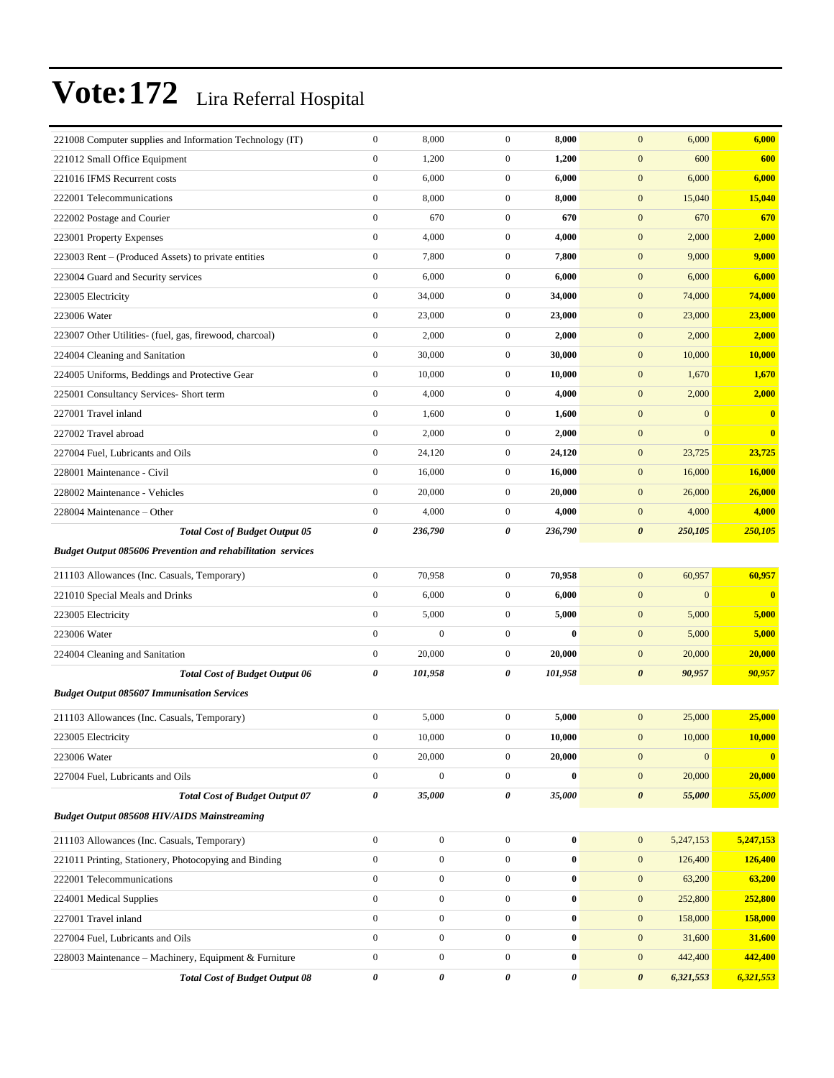| 221008 Computer supplies and Information Technology (IT)           | $\mathbf{0}$          | 8,000            | $\boldsymbol{0}$ | 8,000    | $\mathbf{0}$<br>6,000              | 6,000        |
|--------------------------------------------------------------------|-----------------------|------------------|------------------|----------|------------------------------------|--------------|
| 221012 Small Office Equipment                                      | $\boldsymbol{0}$      | 1,200            | $\overline{0}$   | 1,200    | $\mathbf{0}$<br>600                | 600          |
| 221016 IFMS Recurrent costs                                        | $\boldsymbol{0}$      | 6,000            | $\mathbf{0}$     | 6,000    | $\mathbf{0}$<br>6,000              | 6,000        |
| 222001 Telecommunications                                          | $\mathbf{0}$          | 8,000            | $\overline{0}$   | 8,000    | $\mathbf{0}$<br>15,040             | 15,040       |
| 222002 Postage and Courier                                         | $\mathbf{0}$          | 670              | $\mathbf{0}$     | 670      | $\mathbf{0}$<br>670                | 670          |
| 223001 Property Expenses                                           | $\boldsymbol{0}$      | 4,000            | $\mathbf{0}$     | 4,000    | $\mathbf{0}$<br>2,000              | 2,000        |
| 223003 Rent – (Produced Assets) to private entities                | $\boldsymbol{0}$      | 7,800            | $\mathbf{0}$     | 7,800    | $\mathbf{0}$<br>9,000              | 9,000        |
| 223004 Guard and Security services                                 | $\boldsymbol{0}$      | 6,000            | $\mathbf{0}$     | 6,000    | $\mathbf{0}$<br>6,000              | 6,000        |
| 223005 Electricity                                                 | $\boldsymbol{0}$      | 34,000           | $\mathbf{0}$     | 34,000   | $\mathbf{0}$<br>74,000             | 74,000       |
| 223006 Water                                                       | $\mathbf{0}$          | 23,000           | $\mathbf{0}$     | 23,000   | $\mathbf{0}$<br>23,000             | 23,000       |
| 223007 Other Utilities- (fuel, gas, firewood, charcoal)            | $\mathbf{0}$          | 2,000            | $\mathbf{0}$     | 2,000    | $\mathbf{0}$<br>2,000              | 2,000        |
| 224004 Cleaning and Sanitation                                     | $\boldsymbol{0}$      | 30,000           | $\mathbf{0}$     | 30,000   | $\mathbf{0}$<br>10,000             | 10,000       |
| 224005 Uniforms, Beddings and Protective Gear                      | $\mathbf{0}$          | 10,000           | $\mathbf{0}$     | 10,000   | $\mathbf{0}$<br>1,670              | 1,670        |
| 225001 Consultancy Services- Short term                            | $\boldsymbol{0}$      | 4,000            | $\mathbf{0}$     | 4,000    | $\mathbf{0}$<br>2,000              | 2,000        |
| 227001 Travel inland                                               | $\boldsymbol{0}$      | 1,600            | $\mathbf{0}$     | 1,600    | $\mathbf{0}$<br>$\boldsymbol{0}$   | $\bf{0}$     |
| 227002 Travel abroad                                               | $\boldsymbol{0}$      | 2,000            | $\mathbf{0}$     | 2,000    | $\mathbf{0}$<br>$\overline{0}$     | $\bf{0}$     |
| 227004 Fuel, Lubricants and Oils                                   | $\boldsymbol{0}$      | 24,120           | $\mathbf{0}$     | 24,120   | $\mathbf{0}$<br>23,725             | 23,725       |
| 228001 Maintenance - Civil                                         | $\mathbf{0}$          | 16,000           | $\mathbf{0}$     | 16,000   | $\mathbf{0}$<br>16,000             | 16,000       |
| 228002 Maintenance - Vehicles                                      | $\mathbf{0}$          | 20,000           | $\mathbf{0}$     | 20,000   | $\mathbf{0}$<br>26,000             | 26,000       |
| 228004 Maintenance – Other                                         | $\mathbf{0}$          | 4,000            | $\mathbf{0}$     | 4,000    | $\mathbf{0}$<br>4,000              | 4,000        |
| <b>Total Cost of Budget Output 05</b>                              | 0                     | 236,790          | 0                | 236,790  | $\boldsymbol{\theta}$<br>250,105   | 250,105      |
| <b>Budget Output 085606 Prevention and rehabilitation services</b> |                       |                  |                  |          |                                    |              |
| 211103 Allowances (Inc. Casuals, Temporary)                        | $\boldsymbol{0}$      | 70,958           | $\mathbf{0}$     | 70,958   | $\mathbf{0}$<br>60,957             | 60,957       |
| 221010 Special Meals and Drinks                                    | $\boldsymbol{0}$      | 6,000            | $\mathbf{0}$     | 6,000    | $\mathbf{0}$<br>$\boldsymbol{0}$   | $\bf{0}$     |
| 223005 Electricity                                                 | $\mathbf{0}$          | 5,000            | $\mathbf{0}$     | 5,000    | $\mathbf{0}$<br>5,000              | 5,000        |
| 223006 Water                                                       | $\boldsymbol{0}$      | $\boldsymbol{0}$ | $\mathbf{0}$     | $\bf{0}$ | $\mathbf{0}$<br>5,000              | 5,000        |
| 224004 Cleaning and Sanitation                                     | $\boldsymbol{0}$      | 20,000           | $\mathbf{0}$     | 20,000   | $\mathbf{0}$<br>20,000             | 20,000       |
| <b>Total Cost of Budget Output 06</b>                              | 0                     | 101,958          | 0                | 101,958  | $\boldsymbol{\theta}$<br>90,957    | 90,957       |
| <b>Budget Output 085607 Immunisation Services</b>                  |                       |                  |                  |          |                                    |              |
| 211103 Allowances (Inc. Casuals, Temporary)                        | $\boldsymbol{0}$      | 5,000            | $\overline{0}$   | 5,000    | 25,000<br>$\mathbf{0}$             | 25,000       |
| 223005 Electricity                                                 | $\boldsymbol{0}$      | 10,000           | $\boldsymbol{0}$ | 10,000   | 10,000<br>$\mathbf{0}$             | 10,000       |
| 223006 Water                                                       | $\boldsymbol{0}$      | 20,000           | $\mathbf{0}$     | 20,000   | $\mathbf{0}$<br>$\boldsymbol{0}$   | $\mathbf{0}$ |
| 227004 Fuel, Lubricants and Oils                                   | $\boldsymbol{0}$      | $\boldsymbol{0}$ | $\boldsymbol{0}$ | $\bf{0}$ | $\mathbf{0}$<br>20,000             | 20,000       |
| <b>Total Cost of Budget Output 07</b>                              | $\pmb{\theta}$        | 35,000           | 0                | 35,000   | $\pmb{\theta}$<br>55,000           | 55,000       |
| <b>Budget Output 085608 HIV/AIDS Mainstreaming</b>                 |                       |                  |                  |          |                                    |              |
| 211103 Allowances (Inc. Casuals, Temporary)                        | $\boldsymbol{0}$      | $\boldsymbol{0}$ | $\mathbf{0}$     | $\bf{0}$ | $\mathbf{0}$<br>5,247,153          | 5,247,153    |
| 221011 Printing, Stationery, Photocopying and Binding              | $\boldsymbol{0}$      | $\boldsymbol{0}$ | $\overline{0}$   | $\bf{0}$ | $\mathbf{0}$<br>126,400            | 126,400      |
| 222001 Telecommunications                                          | $\boldsymbol{0}$      | $\boldsymbol{0}$ | $\mathbf{0}$     | $\bf{0}$ | $\mathbf{0}$<br>63,200             | 63,200       |
| 224001 Medical Supplies                                            | $\boldsymbol{0}$      | $\boldsymbol{0}$ | $\overline{0}$   | $\bf{0}$ | $\mathbf{0}$<br>252,800            | 252,800      |
| 227001 Travel inland                                               | $\boldsymbol{0}$      | $\boldsymbol{0}$ | $\boldsymbol{0}$ | $\bf{0}$ | $\mathbf{0}$<br>158,000            | 158,000      |
| 227004 Fuel, Lubricants and Oils                                   | $\boldsymbol{0}$      | $\boldsymbol{0}$ | $\overline{0}$   | $\bf{0}$ | $\mathbf{0}$<br>31,600             | 31,600       |
| 228003 Maintenance - Machinery, Equipment & Furniture              | $\boldsymbol{0}$      | $\boldsymbol{0}$ | $\overline{0}$   | $\bf{0}$ | $\mathbf{0}$<br>442,400            | 442,400      |
| <b>Total Cost of Budget Output 08</b>                              | $\boldsymbol{\theta}$ | 0                | 0                | 0        | $\boldsymbol{\theta}$<br>6,321,553 | 6,321,553    |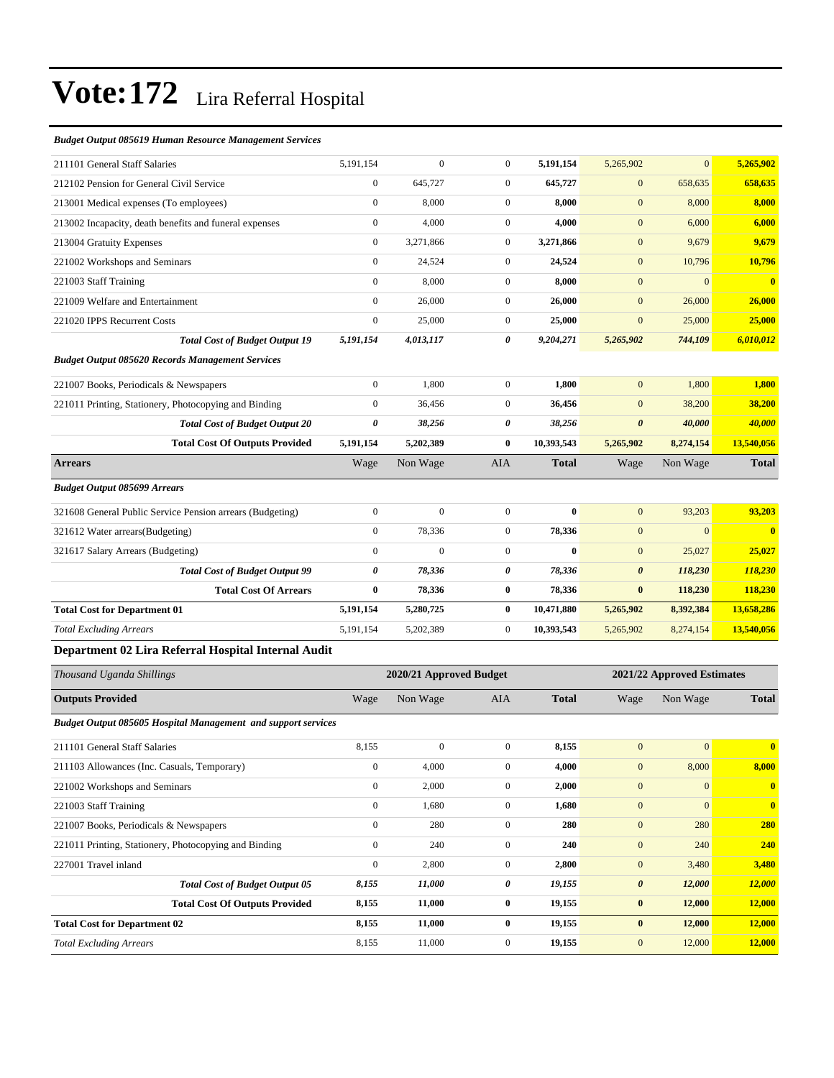#### *Budget Output 085619 Human Resource Management Services*

| 211101 General Staff Salaries                                 | 5,191,154        | $\theta$                | $\mathbf{0}$     | 5,191,154    | 5,265,902             | $\mathbf{0}$               | 5,265,902               |  |
|---------------------------------------------------------------|------------------|-------------------------|------------------|--------------|-----------------------|----------------------------|-------------------------|--|
| 212102 Pension for General Civil Service                      | $\boldsymbol{0}$ | 645,727                 | $\boldsymbol{0}$ | 645,727      | $\boldsymbol{0}$      | 658,635                    | 658,635                 |  |
| 213001 Medical expenses (To employees)                        | $\mathbf{0}$     | 8,000                   | $\mathbf{0}$     | 8,000        | $\mathbf{0}$          | 8,000                      | 8,000                   |  |
| 213002 Incapacity, death benefits and funeral expenses        | $\mathbf{0}$     | 4,000                   | $\overline{0}$   | 4,000        | $\mathbf{0}$          | 6,000                      | 6,000                   |  |
| 213004 Gratuity Expenses                                      | $\overline{0}$   | 3,271,866               | $\boldsymbol{0}$ | 3,271,866    | $\mathbf{0}$          | 9,679                      | 9,679                   |  |
| 221002 Workshops and Seminars                                 | $\mathbf{0}$     | 24,524                  | $\mathbf{0}$     | 24,524       | $\mathbf{0}$          | 10,796                     | 10,796                  |  |
| 221003 Staff Training                                         | $\overline{0}$   | 8,000                   | $\mathbf{0}$     | 8,000        | $\mathbf{0}$          | $\mathbf{0}$               | $\overline{\mathbf{0}}$ |  |
| 221009 Welfare and Entertainment                              | $\mathbf{0}$     | 26,000                  | $\mathbf{0}$     | 26,000       | $\mathbf{0}$          | 26,000                     | 26,000                  |  |
| 221020 IPPS Recurrent Costs                                   | $\mathbf{0}$     | 25,000                  | $\mathbf{0}$     | 25,000       | $\mathbf{0}$          | 25,000                     | 25,000                  |  |
| <b>Total Cost of Budget Output 19</b>                         | 5,191,154        | 4,013,117               | 0                | 9,204,271    | 5,265,902             | 744,109                    | 6,010,012               |  |
| <b>Budget Output 085620 Records Management Services</b>       |                  |                         |                  |              |                       |                            |                         |  |
| 221007 Books, Periodicals & Newspapers                        | $\mathbf{0}$     | 1.800                   | $\mathbf{0}$     | 1,800        | $\mathbf{0}$          | 1.800                      | 1.800                   |  |
| 221011 Printing, Stationery, Photocopying and Binding         | $\mathbf{0}$     | 36,456                  | $\mathbf{0}$     | 36,456       | $\mathbf{0}$          | 38,200                     | 38,200                  |  |
| <b>Total Cost of Budget Output 20</b>                         | $\pmb{\theta}$   | 38,256                  | 0                | 38,256       | $\boldsymbol{\theta}$ | 40,000                     | 40,000                  |  |
| <b>Total Cost Of Outputs Provided</b>                         | 5,191,154        | 5,202,389               | $\mathbf{0}$     | 10,393,543   | 5,265,902             | 8,274,154                  | 13,540,056              |  |
| <b>Arrears</b>                                                | Wage             | Non Wage                | <b>AIA</b>       | Total        | Wage                  | Non Wage                   | <b>Total</b>            |  |
| <b>Budget Output 085699 Arrears</b>                           |                  |                         |                  |              |                       |                            |                         |  |
| 321608 General Public Service Pension arrears (Budgeting)     | $\mathbf{0}$     | $\mathbf{0}$            | $\mathbf{0}$     | $\bf{0}$     | $\mathbf{0}$          | 93,203                     | 93,203                  |  |
| 321612 Water arrears(Budgeting)                               | $\mathbf{0}$     | 78,336                  | $\mathbf{0}$     | 78,336       | $\mathbf{0}$          | $\mathbf{0}$               | $\overline{\mathbf{0}}$ |  |
| 321617 Salary Arrears (Budgeting)                             | $\mathbf{0}$     | $\Omega$                | $\mathbf{0}$     | $\bf{0}$     | $\mathbf{0}$          | 25,027                     | 25,027                  |  |
| <b>Total Cost of Budget Output 99</b>                         | 0                | 78,336                  | 0                | 78,336       | $\boldsymbol{\theta}$ | 118,230                    | 118,230                 |  |
| <b>Total Cost Of Arrears</b>                                  | $\bf{0}$         | 78,336                  | $\bf{0}$         | 78,336       | $\bf{0}$              | 118,230                    | 118,230                 |  |
| <b>Total Cost for Department 01</b>                           | 5,191,154        | 5,280,725               | $\bf{0}$         | 10,471,880   | 5,265,902             | 8,392,384                  | 13,658,286              |  |
| <b>Total Excluding Arrears</b>                                | 5,191,154        | 5,202,389               | $\mathbf{0}$     | 10,393,543   | 5,265,902             | 8,274,154                  | 13,540,056              |  |
| Department 02 Lira Referral Hospital Internal Audit           |                  |                         |                  |              |                       |                            |                         |  |
| Thousand Uganda Shillings                                     |                  | 2020/21 Approved Budget |                  |              |                       | 2021/22 Approved Estimates |                         |  |
| <b>Outputs Provided</b>                                       | Wage             | Non Wage                | <b>AIA</b>       | <b>Total</b> | Wage                  | Non Wage                   | <b>Total</b>            |  |
| Budget Output 085605 Hospital Management and support services |                  |                         |                  |              |                       |                            |                         |  |

| 211101 General Staff Salaries                         | 8,155        | $\mathbf{0}$ | $\mathbf{0}$ | 8,155  | $\mathbf{0}$          | $\overline{0}$ | $\mathbf{0}$            |
|-------------------------------------------------------|--------------|--------------|--------------|--------|-----------------------|----------------|-------------------------|
| 211103 Allowances (Inc. Casuals, Temporary)           | $\mathbf{0}$ | 4,000        | $\mathbf{0}$ | 4,000  | $\boldsymbol{0}$      | 8,000          | 8,000                   |
| 221002 Workshops and Seminars                         | $\mathbf{0}$ | 2,000        | $\mathbf{0}$ | 2,000  | $\mathbf{0}$          | $\overline{0}$ | $\mathbf{0}$            |
| 221003 Staff Training                                 | $\mathbf{0}$ | 1,680        | $\mathbf{0}$ | 1,680  | $\mathbf{0}$          | $\overline{0}$ | $\overline{\mathbf{0}}$ |
| 221007 Books, Periodicals & Newspapers                | $\Omega$     | 280          | $\Omega$     | 280    | $\mathbf{0}$          | 280            | <b>280</b>              |
| 221011 Printing, Stationery, Photocopying and Binding | $\mathbf{0}$ | 240          | $\mathbf{0}$ | 240    | $\mathbf{0}$          | 240            | 240                     |
| 227001 Travel inland                                  | $\mathbf{0}$ | 2,800        | $\mathbf{0}$ | 2,800  | $\mathbf{0}$          | 3,480          | 3,480                   |
| <b>Total Cost of Budget Output 05</b>                 | 8,155        | 11,000       | 0            | 19,155 | $\boldsymbol{\theta}$ | 12,000         | 12,000                  |
| <b>Total Cost Of Outputs Provided</b>                 | 8,155        | 11,000       | $\bf{0}$     | 19,155 | $\bf{0}$              | 12,000         | 12,000                  |
| <b>Total Cost for Department 02</b>                   | 8,155        | 11,000       | $\bf{0}$     | 19,155 | $\bf{0}$              | 12,000         | 12,000                  |
| <b>Total Excluding Arrears</b>                        | 8,155        | 11,000       | $\Omega$     | 19,155 | $\mathbf{0}$          | 12,000         | 12,000                  |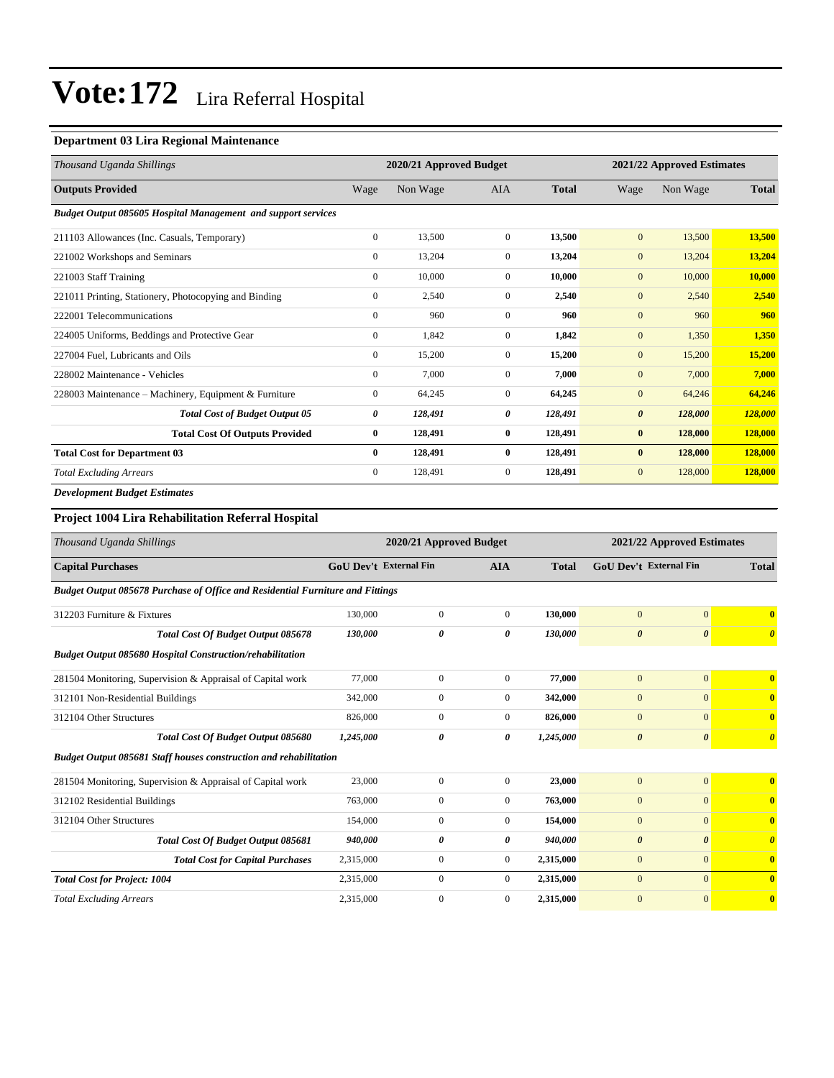#### **Department 03 Lira Regional Maintenance**

| Thousand Uganda Shillings                                            |              | 2020/21 Approved Budget |                |              |                       | 2021/22 Approved Estimates |              |
|----------------------------------------------------------------------|--------------|-------------------------|----------------|--------------|-----------------------|----------------------------|--------------|
| <b>Outputs Provided</b>                                              | Wage         | Non Wage                | <b>AIA</b>     | <b>Total</b> | Wage                  | Non Wage                   | <b>Total</b> |
| <b>Budget Output 085605 Hospital Management and support services</b> |              |                         |                |              |                       |                            |              |
| 211103 Allowances (Inc. Casuals, Temporary)                          | $\mathbf{0}$ | 13,500                  | $\overline{0}$ | 13,500       | $\mathbf{0}$          | 13,500                     | 13,500       |
| 221002 Workshops and Seminars                                        | $\mathbf{0}$ | 13,204                  | $\overline{0}$ | 13,204       | $\mathbf{0}$          | 13,204                     | 13,204       |
| 221003 Staff Training                                                | $\mathbf{0}$ | 10,000                  | $\overline{0}$ | 10.000       | $\mathbf{0}$          | 10,000                     | 10,000       |
| 221011 Printing, Stationery, Photocopying and Binding                | $\mathbf{0}$ | 2,540                   | $\Omega$       | 2,540        | $\mathbf{0}$          | 2,540                      | 2,540        |
| 222001 Telecommunications                                            | $\mathbf{0}$ | 960                     | $\overline{0}$ | 960          | $\mathbf{0}$          | 960                        | 960          |
| 224005 Uniforms, Beddings and Protective Gear                        | $\mathbf{0}$ | 1,842                   | $\overline{0}$ | 1,842        | $\mathbf{0}$          | 1,350                      | 1,350        |
| 227004 Fuel, Lubricants and Oils                                     | $\mathbf{0}$ | 15,200                  | $\overline{0}$ | 15,200       | $\mathbf{0}$          | 15,200                     | 15,200       |
| 228002 Maintenance - Vehicles                                        | $\mathbf{0}$ | 7,000                   | 0              | 7,000        | $\mathbf{0}$          | 7,000                      | 7,000        |
| 228003 Maintenance - Machinery, Equipment & Furniture                | $\mathbf{0}$ | 64,245                  | $\overline{0}$ | 64,245       | $\mathbf{0}$          | 64,246                     | 64,246       |
| <b>Total Cost of Budget Output 05</b>                                | 0            | 128,491                 | 0              | 128,491      | $\boldsymbol{\theta}$ | 128,000                    | 128,000      |
| <b>Total Cost Of Outputs Provided</b>                                | $\bf{0}$     | 128,491                 | $\bf{0}$       | 128,491      | $\bf{0}$              | 128,000                    | 128,000      |
| <b>Total Cost for Department 03</b>                                  | $\bf{0}$     | 128,491                 | $\bf{0}$       | 128,491      | $\bf{0}$              | 128,000                    | 128,000      |
| <b>Total Excluding Arrears</b>                                       | $\mathbf{0}$ | 128,491                 | $\overline{0}$ | 128,491      | $\mathbf{0}$          | 128,000                    | 128,000      |
| <b>Development Budget Estimates</b>                                  |              |                         |                |              |                       |                            |              |

#### **Project 1004 Lira Rehabilitation Referral Hospital**

| Thousand Uganda Shillings                                                      |                               | 2020/21 Approved Budget |                |              | 2021/22 Approved Estimates |                       |                       |
|--------------------------------------------------------------------------------|-------------------------------|-------------------------|----------------|--------------|----------------------------|-----------------------|-----------------------|
| <b>Capital Purchases</b>                                                       | <b>GoU Dev't External Fin</b> |                         | <b>AIA</b>     | <b>Total</b> | GoU Dev't External Fin     |                       | <b>Total</b>          |
| Budget Output 085678 Purchase of Office and Residential Furniture and Fittings |                               |                         |                |              |                            |                       |                       |
| 312203 Furniture & Fixtures                                                    | 130,000                       | $\mathbf{0}$            | $\overline{0}$ | 130,000      | $\overline{0}$             | $\overline{0}$        | $\mathbf{0}$          |
| <b>Total Cost Of Budget Output 085678</b>                                      | 130,000                       | 0                       | 0              | 130,000      | $\boldsymbol{\theta}$      | $\boldsymbol{\theta}$ | $\boldsymbol{\theta}$ |
| <b>Budget Output 085680 Hospital Construction/rehabilitation</b>               |                               |                         |                |              |                            |                       |                       |
| 281504 Monitoring, Supervision & Appraisal of Capital work                     | 77,000                        | $\boldsymbol{0}$        | $\overline{0}$ | 77,000       | $\mathbf{0}$               | $\mathbf{0}$          | $\bf{0}$              |
| 312101 Non-Residential Buildings                                               | 342,000                       | $\bf{0}$                | $\overline{0}$ | 342,000      | $\mathbf{0}$               | $\mathbf{0}$          | $\bf{0}$              |
| 312104 Other Structures                                                        | 826,000                       | $\bf{0}$                | $\overline{0}$ | 826,000      | $\mathbf{0}$               | $\mathbf{0}$          | $\bf{0}$              |
| Total Cost Of Budget Output 085680                                             | 1,245,000                     | 0                       | 0              | 1,245,000    | $\boldsymbol{\theta}$      | $\boldsymbol{\theta}$ | $\theta$              |
| <b>Budget Output 085681 Staff houses construction and rehabilitation</b>       |                               |                         |                |              |                            |                       |                       |
| 281504 Monitoring, Supervision & Appraisal of Capital work                     | 23,000                        | $\boldsymbol{0}$        | $\overline{0}$ | 23,000       | $\mathbf{0}$               | $\mathbf{0}$          | $\mathbf{0}$          |
| 312102 Residential Buildings                                                   | 763,000                       | $\mathbf{0}$            | $\theta$       | 763,000      | $\mathbf{0}$               | $\mathbf{0}$          | $\bf{0}$              |
| 312104 Other Structures                                                        | 154,000                       | $\boldsymbol{0}$        | $\overline{0}$ | 154,000      | $\mathbf{0}$               | $\Omega$              | $\mathbf{0}$          |
| Total Cost Of Budget Output 085681                                             | 940,000                       | 0                       | 0              | 940,000      | $\boldsymbol{\theta}$      | $\boldsymbol{\theta}$ | $\boldsymbol{\theta}$ |
| <b>Total Cost for Capital Purchases</b>                                        | 2,315,000                     | $\bf{0}$                | $\overline{0}$ | 2,315,000    | $\mathbf{0}$               | $\mathbf{0}$          | $\bf{0}$              |
| <b>Total Cost for Project: 1004</b>                                            | 2,315,000                     | $\overline{0}$          | $\overline{0}$ | 2,315,000    | $\mathbf{0}$               | $\mathbf{0}$          | $\bf{0}$              |
| <b>Total Excluding Arrears</b>                                                 | 2,315,000                     | $\mathbf{0}$            | $\mathbf{0}$   | 2,315,000    | $\overline{0}$             | $\overline{0}$        | $\bf{0}$              |